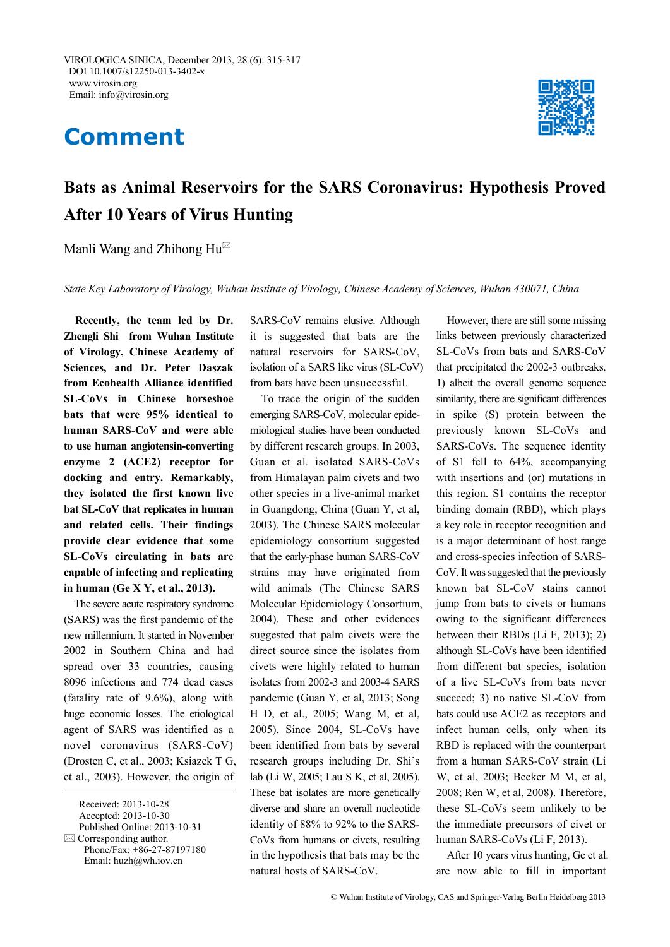## **Comment**



## **Bats as Animal Reservoirs for the SARS Coronavirus: Hypothesis Proved After 10 Years of Virus Hunting**

Manli Wang and Zhihong  $Hu^{\boxtimes}$ 

*State Key Laboratory of Virology, Wuhan Institute of Virology, Chinese Academy of Sciences, Wuhan 430071, China*

**Recently, the team led by Dr. Zhengli Shi from Wuhan Institute of Virology, Chinese Academy of Sciences, and Dr. Peter Daszak from Ecohealth Alliance identified SL-CoVs in Chinese horseshoe bats that were 95% identical to human SARS-CoV and were able to use human angiotensin-converting enzyme 2 (ACE2) receptor for docking and entry. Remarkably, they isolated the first known live bat SL-CoV that replicates in human and related cells. Their findings provide clear evidence that some SL-CoVs circulating in bats are capable of infecting and replicating in human (Ge X Y, et al., 2013).** 

The severe acute respiratory syndrome (SARS) was the first pandemic of the new millennium. It started in November 2002 in Southern China and had spread over 33 countries, causing 8096 infections and 774 dead cases (fatality rate of 9.6%), along with huge economic losses. The etiological agent of SARS was identified as a novel coronavirus (SARS-CoV) (Drosten C, et al., 2003; Ksiazek T G, et al., 2003). However, the origin of SARS-CoV remains elusive. Although it is suggested that bats are the natural reservoirs for SARS-CoV, isolation of a SARS like virus (SL-CoV) from bats have been unsuccessful.

To trace the origin of the sudden emerging SARS-CoV, molecular epidemiological studies have been conducted by different research groups. In 2003, Guan et al*.* isolated SARS-CoVs from Himalayan palm civets and two other species in a live-animal market in Guangdong, China (Guan Y, et al, 2003). The Chinese SARS molecular epidemiology consortium suggested that the early-phase human SARS-CoV strains may have originated from wild animals (The Chinese SARS Molecular Epidemiology Consortium, 2004). These and other evidences suggested that palm civets were the direct source since the isolates from civets were highly related to human isolates from 2002-3 and 2003-4 SARS pandemic (Guan Y, et al, 2013; Song H D, et al., 2005; Wang M, et al, 2005). Since 2004, SL-CoVs have been identified from bats by several research groups including Dr. Shi's lab (Li W, 2005; Lau S K, et al, 2005). These bat isolates are more genetically diverse and share an overall nucleotide identity of 88% to 92% to the SARS-CoVs from humans or civets, resulting in the hypothesis that bats may be the natural hosts of SARS-CoV.

However, there are still some missing links between previously characterized SL-CoVs from bats and SARS-CoV that precipitated the 2002-3 outbreaks. 1) albeit the overall genome sequence similarity, there are significant differences in spike (S) protein between the previously known SL-CoVs and SARS-CoVs. The sequence identity of S1 fell to 64%, accompanying with insertions and (or) mutations in this region. S1 contains the receptor binding domain (RBD), which plays a key role in receptor recognition and is a major determinant of host range and cross-species infection of SARS-CoV. It was suggested that the previously known bat SL-CoV stains cannot jump from bats to civets or humans owing to the significant differences between their RBDs (Li F, 2013); 2) although SL-CoVs have been identified from different bat species, isolation of a live SL-CoVs from bats never succeed; 3) no native SL-CoV from bats could use ACE2 as receptors and infect human cells, only when its RBD is replaced with the counterpart from a human SARS-CoV strain (Li W, et al, 2003; Becker M M, et al, 2008; Ren W, et al, 2008). Therefore, these SL-CoVs seem unlikely to be the immediate precursors of civet or human SARS-CoVs (Li F, 2013).

After 10 years virus hunting, Ge et al. are now able to fill in important

Received: 2013-10-28 Accepted: 2013-10-30 Published Online: 2013-10-31  $\boxtimes$  Corresponding author. Phone/Fax: +86-27-87197180 Email: huzh@wh.iov.cn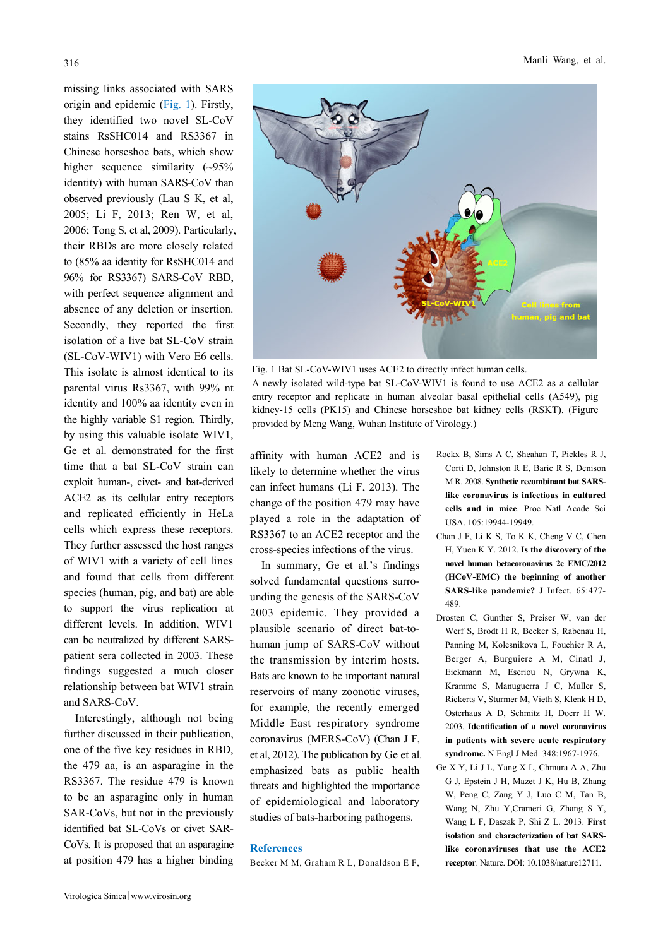missing links associated with SARS origin and epidemic (Fig. 1). Firstly, they identified two novel SL-CoV stains RsSHC014 and RS3367 in Chinese horseshoe bats, which show higher sequence similarity  $(-95\%$ identity) with human SARS-CoV than observed previously (Lau S K, et al, 2005; Li F, 2013; Ren W, et al, 2006; Tong S, et al, 2009). Particularly, their RBDs are more closely related to (85% aa identity for RsSHC014 and 96% for RS3367) SARS-CoV RBD, with perfect sequence alignment and absence of any deletion or insertion. Secondly, they reported the first isolation of a live bat SL-CoV strain (SL-CoV-WIV1) with Vero E6 cells. This isolate is almost identical to its parental virus Rs3367, with 99% nt identity and 100% aa identity even in the highly variable S1 region. Thirdly, by using this valuable isolate WIV1, Ge et al. demonstrated for the first time that a bat SL-CoV strain can exploit human-, civet- and bat-derived ACE2 as its cellular entry receptors and replicated efficiently in HeLa cells which express these receptors. They further assessed the host ranges of WIV1 with a variety of cell lines and found that cells from different species (human, pig, and bat) are able to support the virus replication at different levels. In addition, WIV1 can be neutralized by different SARSpatient sera collected in 2003. These findings suggested a much closer relationship between bat WIV1 strain

Interestingly, although not being further discussed in their publication, one of the five key residues in RBD, the 479 aa, is an asparagine in the RS3367. The residue 479 is known to be an asparagine only in human SAR-CoVs, but not in the previously identified bat SL-CoVs or civet SAR-CoVs. It is proposed that an asparagine at position 479 has a higher binding

and SARS-CoV.



Fig. 1 Bat SL-CoV-WIV1 uses ACE2 to directly infect human cells. A newly isolated wild-type bat SL-CoV-WIV1 is found to use ACE2 as a cellular entry receptor and replicate in human alveolar basal epithelial cells (A549), pig kidney-15 cells (PK15) and Chinese horseshoe bat kidney cells (RSKT). (Figure provided by Meng Wang, Wuhan Institute of Virology.)

affinity with human ACE2 and is likely to determine whether the virus can infect humans (Li F, 2013). The change of the position 479 may have played a role in the adaptation of RS3367 to an ACE2 receptor and the cross-species infections of the virus.

In summary, Ge et al*.*'s findings solved fundamental questions surrounding the genesis of the SARS-CoV 2003 epidemic. They provided a plausible scenario of direct bat-tohuman jump of SARS-CoV without the transmission by interim hosts. Bats are known to be important natural reservoirs of many zoonotic viruses, for example, the recently emerged Middle East respiratory syndrome coronavirus (MERS-CoV) (Chan J F, et al, 2012). The publication by Ge et al*.*  emphasized bats as public health threats and highlighted the importance of epidemiological and laboratory studies of bats-harboring pathogens.

## **References**

Becker M M, Graham R L, Donaldson E F,

- Rockx B, Sims A C, Sheahan T, Pickles R J, Corti D, Johnston R E, Baric R S, Denison M R. 2008. **Synthetic recombinant bat SARSlike coronavirus is infectious in cultured cells and in mice**. Proc Natl Acade Sci USA. 105:19944-19949.
- Chan J F, Li K S, To K K, Cheng V C, Chen H, Yuen K Y. 2012. **Is the discovery of the novel human betacoronavirus 2c EMC/2012 (HCoV-EMC) the beginning of another SARS-like pandemic?** J Infect. 65:477- 489.
- Drosten C, Gunther S, Preiser W, van der Werf S, Brodt H R, Becker S, Rabenau H, Panning M, Kolesnikova L, Fouchier R A, Berger A, Burguiere A M, Cinatl J, Eickmann M, Escriou N, Grywna K, Kramme S, Manuguerra J C, Muller S, Rickerts V, Sturmer M, Vieth S, Klenk H D, Osterhaus A D, Schmitz H, Doerr H W. 2003. **Identification of a novel coronavirus in patients with severe acute respiratory syndrome.** N Engl J Med. 348:1967-1976.
- Ge X Y, Li J L, Yang X L, Chmura A A, Zhu G J, Epstein J H, Mazet J K, Hu B, Zhang W, Peng C, Zang Y J, Luo C M, Tan B, Wang N, Zhu Y,Crameri G, Zhang S Y, Wang L F, Daszak P, Shi Z L. 2013. **First isolation and characterization of bat SARSlike coronaviruses that use the ACE2 receptor**. Nature. DOI: 10.1038/nature12711.